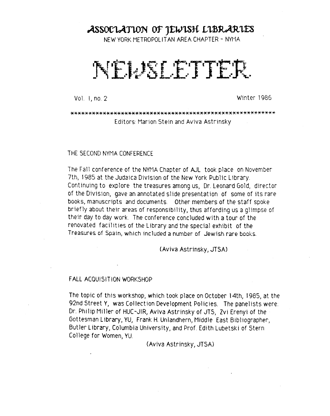ASSOCIATION OF JEWISH LIBRARIES

NEW YORK METROPOLITAN AREA CHAPTER - NYMA

NEWSLETTER.

Vol. I, no. 2 Winter 1986

......................................................... Editors: Marion Stein and Aviva Astrinsky

THE SECOND NYMA CONFERENCE

The Fall conference of the NYMA Chapter of AIL took place on November 7th, 1985 at the Judaica Division of the **New** York Public Library. Continuing to explore the treasures among us, Dr. Leonard Gold, director of the Division, gave an annotated slide presentation of some of its rare **books,** manuscripts and documents. Other members of the staff spoke briefly about their areas of responsibility, thus affording us a glimpse of their **day** to day work. The conference concluded with a tour of the renovated facilities of the Library and the special exhibit of the Treasures of Spain, which **included** a number of Jewish **rare** books.

(Aviva Astrinsky, JTSA)

### FALL ACQUISITION WORKSHOP

The topic of this workshop, which took place on October 14th, 1985, at the 92nd Street Y, was Collection Development Policies. The panelists were. Dr. Philip Miller of HUC-JIR, Aviva Astrinsky of JTS, Zvi Erenyi of the Gottesman Library, YU, Frank H. Unlandhern, Middle East Bibliographer, Butler Library, Columbia University, and Prof. Edith Lubetski of Stern College for Women, YU.

(Aviva Astrinsky, **JTSA)**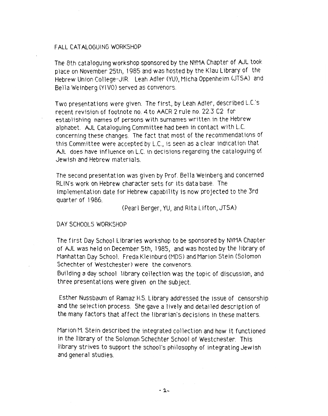### FALL CATALOGUING WORKSHOP

The 8th cataloquing workshop sponsored by the NYMA Chapter of **AJL** took place on November 25th, 1985 and was hosted by the Klau Library of the Hebrew Union College-JIR. Leah Adler (YU), Micha Oppenheim (JTSA) and Bella Weinberg (YIVO) served as convenors.

Two presentations were given. The first, **by** Leah Adler, described L.C.3 recent revision of footnote no. 4 to AACR 2 rule no. 22.3 C2 for establishing names of persons with surnames written in the Hebrew alphabet. AJL Cataloguing Committee had been in contact with L.C. concerning these changes. The fact that most of the recommendations of this Committee were accepted **by** L.C., is seen as a clear indication that AJL does have influence on L.C. in decisions regarding the cataloguing of Jewish and Hebrew materials.

The second presentation was given by Prof. Bella Weinberg and concerned RLIN's work on Hebrew character sets for its data base. The implementation date for Hebrew capability is now projected to the 3rd quarter of 1986.

(Pearl Berger, YU, and Rita Lifton, JTSA)

### DAY SCHOOLS WORKSHOP

The first Day School Libraries workshop to be sponsored by NYMA Chapter of AJL was held on December Sth, 1985, and was hosted by the library of Manhattan Day School. Freda Kleinburd (MDS) and Marion Stein (Solomon Schechter of Westchester) were the convenors.

Building a day school library collection was the topic of discussion, and three presentations were given on the subject.

Esther Nussbaum of Ramaz H.S. Library addressed the issue of censorship and the selection process. She gave a lively and detailed description of the many factors that affect the librarian's decisions in these matters.

Marion M. Stein described the integrated collection and how it functioned in the library of the Solomon Schechter School of Westchester. This library strives to support the school's philosophy of integrating Jewish and general studies.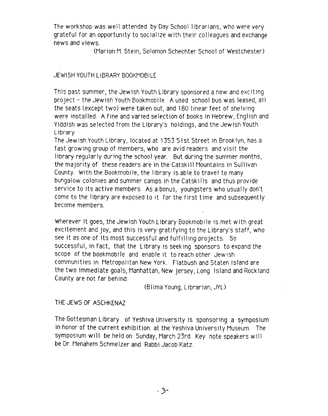The workshop was well attended by Day School librarians, who were very grateful for an opportunity to socialize with their colleagues and exchange news and views.

(Marion M. Stein, Solomon Schechter School of Westchester)

## JEWISH YOUTH LIBRARY BOOKMOBILE

This past summer, the Jewish Youth Library sponsored a new and exciting project - the Jewish Youth Bookmobile. **A** used school bus was leased, all the seats (except two) were taken out, and 180 linear feet of shelving were installed. **A** fine and varied selection of books in Hebrew, English and Yiddish was selected from the Library's holdings, and the Jewish Youth L ibrary

The Jewish Youth Library, located at 1353 51st Street in Brooklyn, has a fast growing group of members, who are avid readers and visit the library regularly during the school year. But during the summer months, the majority of these readers are in the Catskill Mountains in Sullivan County. With the Bookmobiie, the library *is* able to travel to many bungalow colonies and summer camps in the Catskills and thus provide service to its active members. As a bonus, youngsters who usually don't come to the library are exposed to it for the first time and subsequently become members.

Wherever it goes, the Jewish Youth Library Bookmobile is met with great excitement and joy, and this is very gratifying to the Library's staff, who see it as one of its most successful and fulfilling projects. So successful, in fact, that the Library is seeking sponsors to expand the scope of the bookmobile and enable it to reach other Jewish communities in Metropolitan New York. Flatbush and Staten Island are the two immediate goals; Manhattan, New jersey, Long island and Rockland County are not far behind.

(Blima Young, Librarian, JYL)

THE JEWS **OF** ASCHKENAZ

The Gottesman Library of Yeshiva University is sponsoring a symposium in honor of the current exhibition at the Yeshiva University Museum. The symposium will be held on Sunday, March 23rd. Key note speakers will be Or. Menahem Schmelzer and Rabbi Jacob Katz.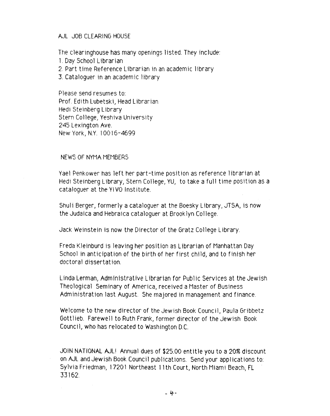### AJL JOB CLEARING HOUSE

The clearinghouse has many openings listed. They include:

1. Day School Librarian

2. Part time Reference Librarian in an academic library

3. Cataloguer in an academic library

Please send resumes to: Prof. Edith Lubetski, Head Librarian Hedi Steinberg Library Stern College, Yeshiva University 245 Lexington Ave. New York, N.Y. 100 16-4693

### NEWS OF NYMA MEMBERS

Yael Penkower has left her part-time position as reference librarian at Hedi Steinberg Library, Stern College, YU, to take a full time position as a cataloguer at the YIVO Institute.

Shuli Berger, formerly a cataloguer at the Boesky Library, JTSA, *is* now the Judaica and Hebraica cataloguer at Brooklyn College.

Jack Weinstein is now the Director of the Gratz College Library

freda Kleinburd is leaving her position *as* Librarian of Manhattan Day School in anticipation of the birth of her first child, and to finish her doctoral dissertation.

Linda Lerman, Administrative Librarian for Public Services at the Jewish Theological Seminary of America, received a Master of Business Administration last August. She majored in management and finance.

Welcome to the new director of the Jewish Book Council, Paula Gribbetz Gottlieb. Farewell to Ruth Frank, former director of the Jewish Book Council, who has relocated to Washington **D.C.** 

JOIN NATIONAL **AJL!** Annual dues of \$25.00 entitle you to a 20% discount on AJL and Jewish Book Council publications. Send your applications to: Sylvia Friedman, 1720 **1** Northeast 1 **1** th Court, North Miami Beach, FL 33 162.